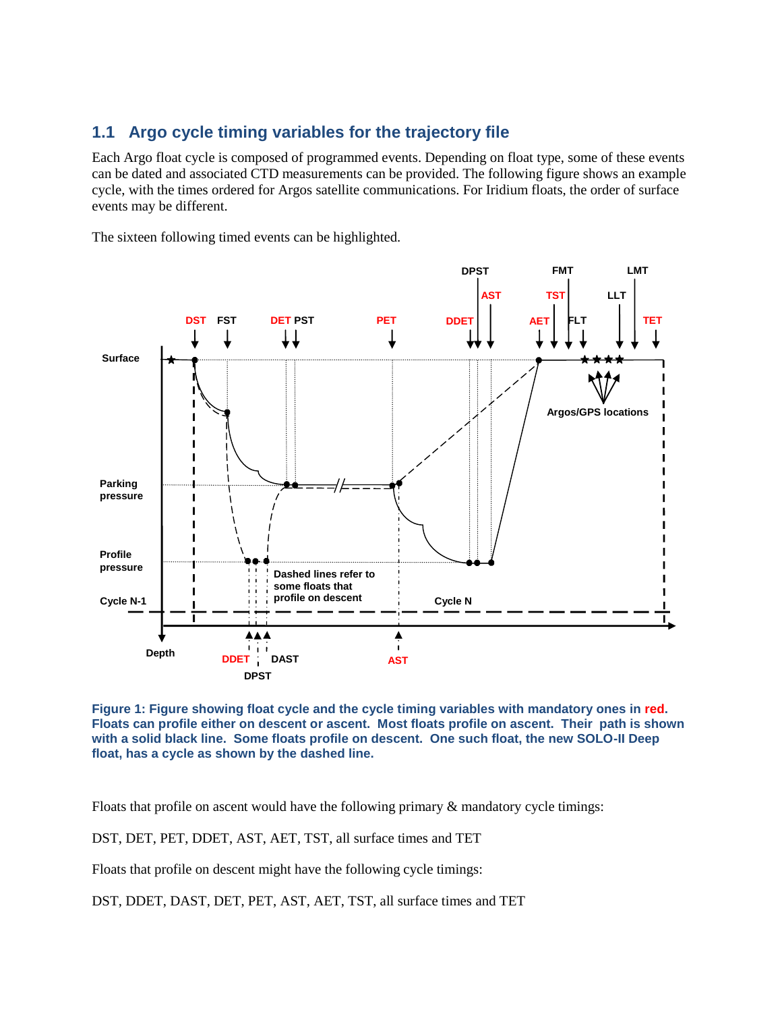## **1.1 Argo cycle timing variables for the trajectory file**

Each Argo float cycle is composed of programmed events. Depending on float type, some of these events can be dated and associated CTD measurements can be provided. The following figure shows an example cycle, with the times ordered for Argos satellite communications. For Iridium floats, the order of surface events may be different.

The sixteen following timed events can be highlighted.



**Figure 1: Figure showing float cycle and the cycle timing variables with mandatory ones in red. Floats can profile either on descent or ascent. Most floats profile on ascent. Their path is shown with a solid black line. Some floats profile on descent. One such float, the new SOLO-II Deep float, has a cycle as shown by the dashed line.**

Floats that profile on ascent would have the following primary & mandatory cycle timings:

DST, DET, PET, DDET, AST, AET, TST, all surface times and TET

Floats that profile on descent might have the following cycle timings:

DST, DDET, DAST, DET, PET, AST, AET, TST, all surface times and TET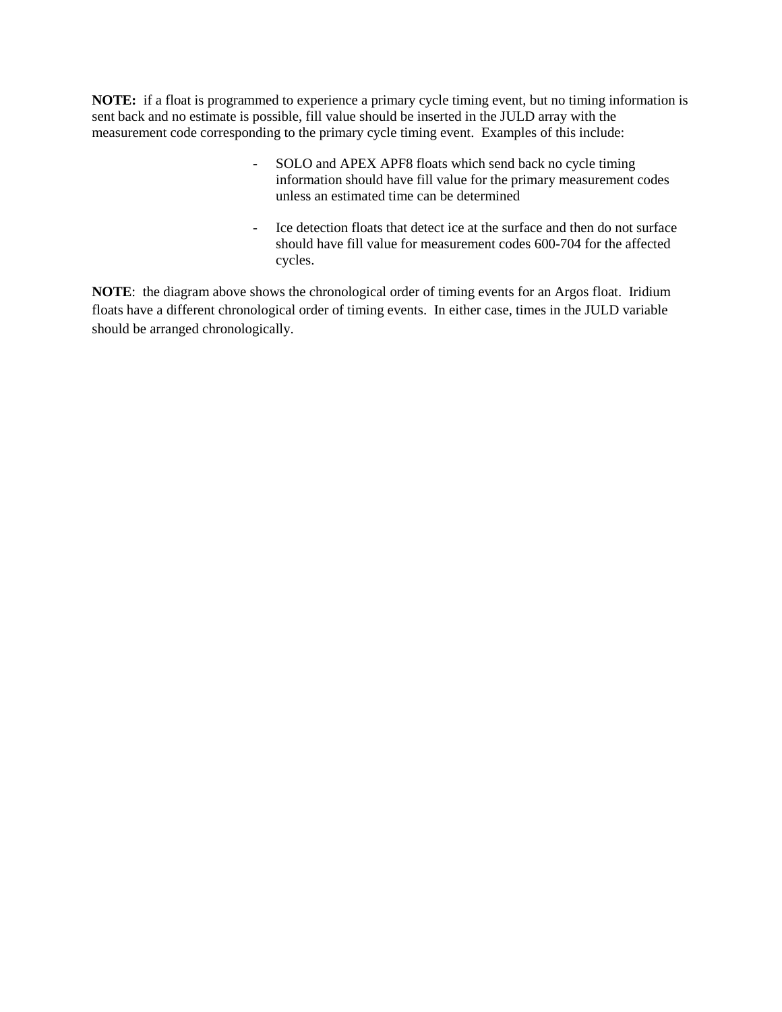**NOTE:** if a float is programmed to experience a primary cycle timing event, but no timing information is sent back and no estimate is possible, fill value should be inserted in the JULD array with the measurement code corresponding to the primary cycle timing event. Examples of this include:

- **-** SOLO and APEX APF8 floats which send back no cycle timing information should have fill value for the primary measurement codes unless an estimated time can be determined
- **-** Ice detection floats that detect ice at the surface and then do not surface should have fill value for measurement codes 600-704 for the affected cycles.

**NOTE**: the diagram above shows the chronological order of timing events for an Argos float. Iridium floats have a different chronological order of timing events. In either case, times in the JULD variable should be arranged chronologically.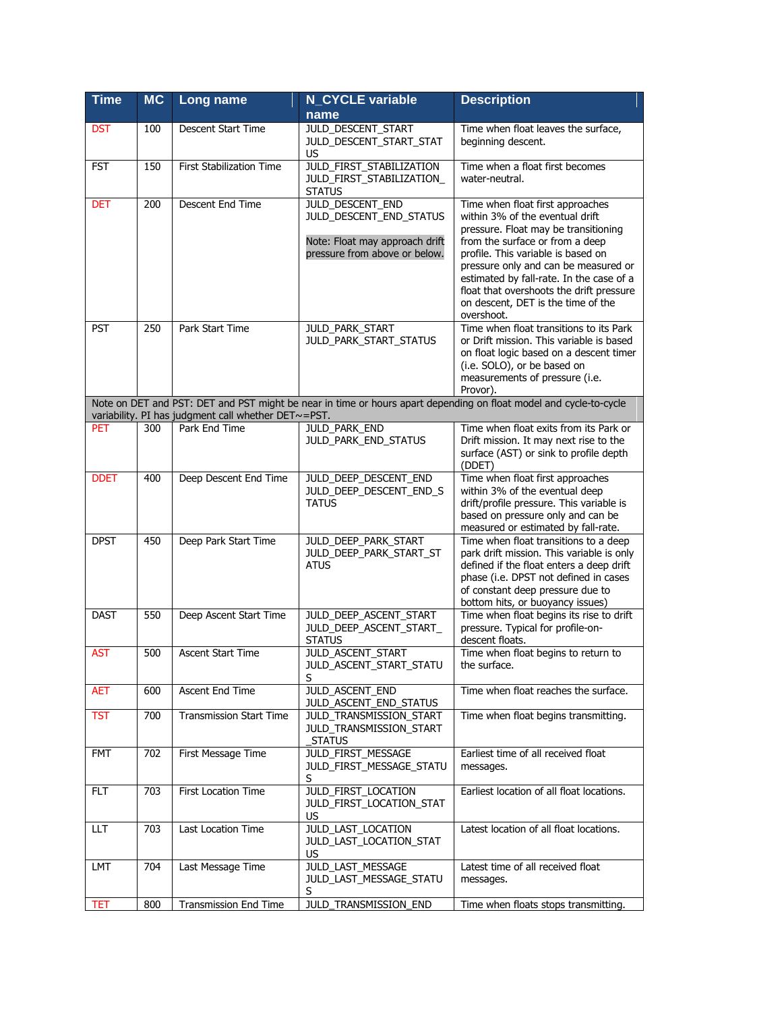| <b>Time</b> | <b>MC</b> | Long name                                                            | <b>N_CYCLE variable</b>                                                                                               | <b>Description</b>                                                                                                                                                                                                                                                                                                                                                       |
|-------------|-----------|----------------------------------------------------------------------|-----------------------------------------------------------------------------------------------------------------------|--------------------------------------------------------------------------------------------------------------------------------------------------------------------------------------------------------------------------------------------------------------------------------------------------------------------------------------------------------------------------|
|             |           |                                                                      | name                                                                                                                  |                                                                                                                                                                                                                                                                                                                                                                          |
| <b>DST</b>  | 100       | Descent Start Time                                                   | JULD_DESCENT_START<br>JULD_DESCENT_START_STAT<br>US                                                                   | Time when float leaves the surface,<br>beginning descent.                                                                                                                                                                                                                                                                                                                |
| <b>FST</b>  | 150       | First Stabilization Time                                             | JULD_FIRST_STABILIZATION<br>JULD_FIRST_STABILIZATION_<br><b>STATUS</b>                                                | Time when a float first becomes<br>water-neutral.                                                                                                                                                                                                                                                                                                                        |
| <b>DET</b>  | 200       | Descent End Time                                                     | <b>JULD_DESCENT_END</b><br>JULD_DESCENT_END_STATUS<br>Note: Float may approach drift<br>pressure from above or below. | Time when float first approaches<br>within 3% of the eventual drift<br>pressure. Float may be transitioning<br>from the surface or from a deep<br>profile. This variable is based on<br>pressure only and can be measured or<br>estimated by fall-rate. In the case of a<br>float that overshoots the drift pressure<br>on descent, DET is the time of the<br>overshoot. |
| <b>PST</b>  | 250       | Park Start Time                                                      | JULD_PARK_START<br>JULD_PARK_START_STATUS                                                                             | Time when float transitions to its Park<br>or Drift mission. This variable is based<br>on float logic based on a descent timer<br>(i.e. SOLO), or be based on<br>measurements of pressure (i.e.<br>Provor).                                                                                                                                                              |
|             |           |                                                                      |                                                                                                                       | Note on DET and PST: DET and PST might be near in time or hours apart depending on float model and cycle-to-cycle                                                                                                                                                                                                                                                        |
| <b>PET</b>  | 300       | variability. PI has judgment call whether DET~=PST.<br>Park End Time | <b>JULD_PARK_END</b>                                                                                                  | Time when float exits from its Park or                                                                                                                                                                                                                                                                                                                                   |
|             |           |                                                                      | JULD_PARK_END_STATUS                                                                                                  | Drift mission. It may next rise to the<br>surface (AST) or sink to profile depth<br>(DDET)                                                                                                                                                                                                                                                                               |
| <b>DDET</b> | 400       | Deep Descent End Time                                                | JULD_DEEP_DESCENT_END<br>JULD_DEEP_DESCENT_END_S<br><b>TATUS</b>                                                      | Time when float first approaches<br>within 3% of the eventual deep<br>drift/profile pressure. This variable is<br>based on pressure only and can be<br>measured or estimated by fall-rate.                                                                                                                                                                               |
| <b>DPST</b> | 450       | Deep Park Start Time                                                 | JULD DEEP PARK START<br>JULD_DEEP_PARK_START_ST<br>ATUS                                                               | Time when float transitions to a deep<br>park drift mission. This variable is only<br>defined if the float enters a deep drift<br>phase (i.e. DPST not defined in cases<br>of constant deep pressure due to<br>bottom hits, or buoyancy issues)                                                                                                                          |
| <b>DAST</b> | 550       | Deep Ascent Start Time                                               | JULD_DEEP_ASCENT_START<br>JULD DEEP ASCENT START<br><b>STATUS</b>                                                     | Time when float begins its rise to drift<br>pressure. Typical for profile-on-<br>descent floats.                                                                                                                                                                                                                                                                         |
| <b>AST</b>  | 500       | <b>Ascent Start Time</b>                                             | JULD_ASCENT_START<br>JULD_ASCENT_START_STATU<br>S                                                                     | Time when float begins to return to<br>the surface.                                                                                                                                                                                                                                                                                                                      |
| <b>AET</b>  | 600       | Ascent End Time                                                      | JULD_ASCENT_END<br>JULD_ASCENT_END_STATUS                                                                             | Time when float reaches the surface.                                                                                                                                                                                                                                                                                                                                     |
| <b>TST</b>  | 700       | <b>Transmission Start Time</b>                                       | JULD_TRANSMISSION_START<br>JULD_TRANSMISSION_START<br><b>STATUS</b>                                                   | Time when float begins transmitting.                                                                                                                                                                                                                                                                                                                                     |
| <b>FMT</b>  | 702       | First Message Time                                                   | JULD_FIRST_MESSAGE<br>JULD_FIRST_MESSAGE_STATU<br>S                                                                   | Earliest time of all received float<br>messages.                                                                                                                                                                                                                                                                                                                         |
| FLT         | 703       | <b>First Location Time</b>                                           | JULD_FIRST_LOCATION<br>JULD_FIRST_LOCATION_STAT<br>US                                                                 | Earliest location of all float locations.                                                                                                                                                                                                                                                                                                                                |
| ШT          | 703       | Last Location Time                                                   | JULD_LAST_LOCATION<br>JULD_LAST_LOCATION_STAT<br>US                                                                   | Latest location of all float locations.                                                                                                                                                                                                                                                                                                                                  |
| LMT         | 704       | Last Message Time                                                    | JULD_LAST_MESSAGE<br>JULD_LAST_MESSAGE_STATU<br>S                                                                     | Latest time of all received float<br>messages.                                                                                                                                                                                                                                                                                                                           |
| TET         | 800       | Transmission End Time                                                | JULD_TRANSMISSION_END                                                                                                 | Time when floats stops transmitting.                                                                                                                                                                                                                                                                                                                                     |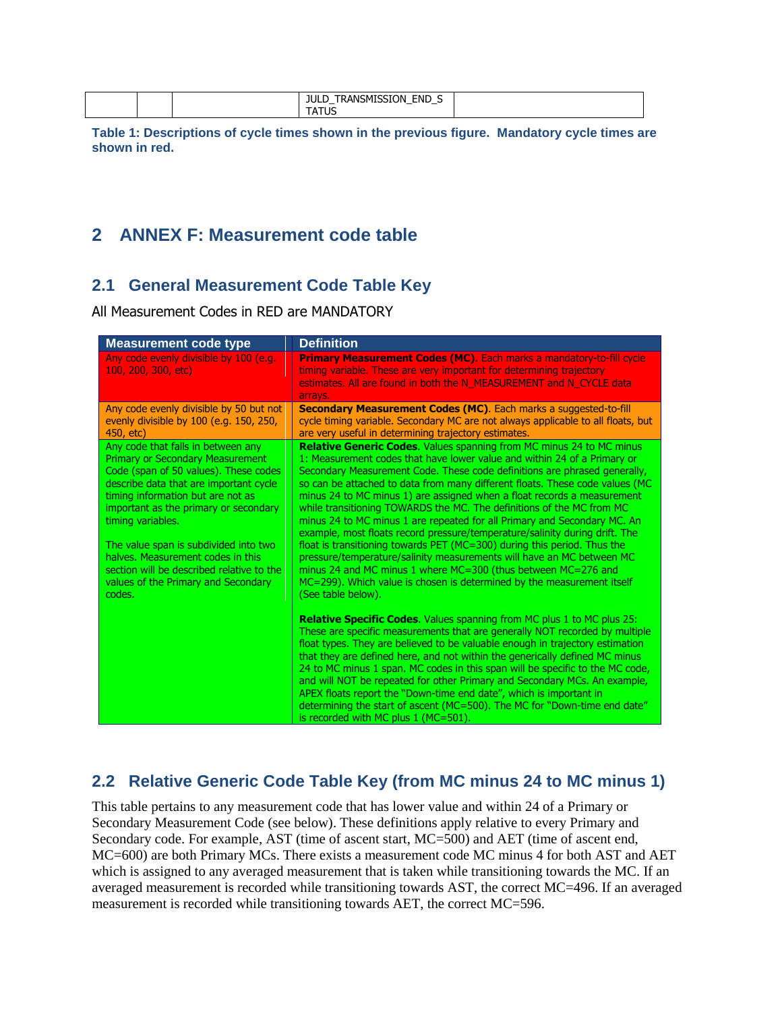| <b>FNF</b><br>'N<br>…∧ANSM™<br>JULL<br>יר<br><br>--<br>.__<br>ັ |  |
|-----------------------------------------------------------------|--|
|-----------------------------------------------------------------|--|

**Table 1: Descriptions of cycle times shown in the previous figure. Mandatory cycle times are shown in red.**

## **2 ANNEX F: Measurement code table**

#### **2.1 General Measurement Code Table Key**

All Measurement Codes in RED are MANDATORY

| <b>Measurement code type</b>                                                                                                                                                                                                                                                                                                                                                                                                                    | <b>Definition</b>                                                                                                                                                                                                                                                                                                                                                                                                                                                                                                                                                                                                                                                                                                                                                                                                                                                                                                                                                                                                                                                                                                                                                                                                                                                                                                                                                                                                                                                                                                                                                                                                                           |
|-------------------------------------------------------------------------------------------------------------------------------------------------------------------------------------------------------------------------------------------------------------------------------------------------------------------------------------------------------------------------------------------------------------------------------------------------|---------------------------------------------------------------------------------------------------------------------------------------------------------------------------------------------------------------------------------------------------------------------------------------------------------------------------------------------------------------------------------------------------------------------------------------------------------------------------------------------------------------------------------------------------------------------------------------------------------------------------------------------------------------------------------------------------------------------------------------------------------------------------------------------------------------------------------------------------------------------------------------------------------------------------------------------------------------------------------------------------------------------------------------------------------------------------------------------------------------------------------------------------------------------------------------------------------------------------------------------------------------------------------------------------------------------------------------------------------------------------------------------------------------------------------------------------------------------------------------------------------------------------------------------------------------------------------------------------------------------------------------------|
| Any code evenly divisible by 100 (e.g.<br>100, 200, 300, etc)                                                                                                                                                                                                                                                                                                                                                                                   | <b>Primary Measurement Codes (MC).</b> Each marks a mandatory-to-fill cycle<br>timing variable. These are very important for determining trajectory<br>estimates. All are found in both the N_MEASUREMENT and N_CYCLE data<br>arrays.                                                                                                                                                                                                                                                                                                                                                                                                                                                                                                                                                                                                                                                                                                                                                                                                                                                                                                                                                                                                                                                                                                                                                                                                                                                                                                                                                                                                       |
| Any code evenly divisible by 50 but not<br>evenly divisible by 100 (e.g. 150, 250,<br>450, etc)                                                                                                                                                                                                                                                                                                                                                 | Secondary Measurement Codes (MC). Each marks a suggested-to-fill<br>cycle timing variable. Secondary MC are not always applicable to all floats, but<br>are very useful in determining trajectory estimates.                                                                                                                                                                                                                                                                                                                                                                                                                                                                                                                                                                                                                                                                                                                                                                                                                                                                                                                                                                                                                                                                                                                                                                                                                                                                                                                                                                                                                                |
| Any code that falls in between any<br><b>Primary or Secondary Measurement</b><br>Code (span of 50 values). These codes<br>describe data that are important cycle<br>timing information but are not as<br>important as the primary or secondary<br>timing variables.<br>The value span is subdivided into two<br>halves. Measurement codes in this<br>section will be described relative to the<br>values of the Primary and Secondary<br>codes. | Relative Generic Codes. Values spanning from MC minus 24 to MC minus<br>1: Measurement codes that have lower value and within 24 of a Primary or<br>Secondary Measurement Code. These code definitions are phrased generally,<br>so can be attached to data from many different floats. These code values (MC<br>minus 24 to MC minus 1) are assigned when a float records a measurement<br>while transitioning TOWARDS the MC. The definitions of the MC from MC<br>minus 24 to MC minus 1 are repeated for all Primary and Secondary MC. An<br>example, most floats record pressure/temperature/salinity during drift. The<br>float is transitioning towards PET (MC=300) during this period. Thus the<br>pressure/temperature/salinity measurements will have an MC between MC<br>minus 24 and MC minus 1 where MC=300 (thus between MC=276 and<br>MC=299). Which value is chosen is determined by the measurement itself<br>(See table below).<br><b>Relative Specific Codes.</b> Values spanning from MC plus 1 to MC plus 25:<br>These are specific measurements that are generally NOT recorded by multiple<br>float types. They are believed to be valuable enough in trajectory estimation<br>that they are defined here, and not within the generically defined MC minus<br>24 to MC minus 1 span. MC codes in this span will be specific to the MC code,<br>and will NOT be repeated for other Primary and Secondary MCs. An example,<br>APEX floats report the "Down-time end date", which is important in<br>determining the start of ascent (MC=500). The MC for "Down-time end date"<br>is recorded with MC plus 1 (MC=501). |

### **2.2 Relative Generic Code Table Key (from MC minus 24 to MC minus 1)**

This table pertains to any measurement code that has lower value and within 24 of a Primary or Secondary Measurement Code (see below). These definitions apply relative to every Primary and Secondary code. For example, AST (time of ascent start, MC=500) and AET (time of ascent end, MC=600) are both Primary MCs. There exists a measurement code MC minus 4 for both AST and AET which is assigned to any averaged measurement that is taken while transitioning towards the MC. If an averaged measurement is recorded while transitioning towards AST, the correct MC=496. If an averaged measurement is recorded while transitioning towards AET, the correct MC=596.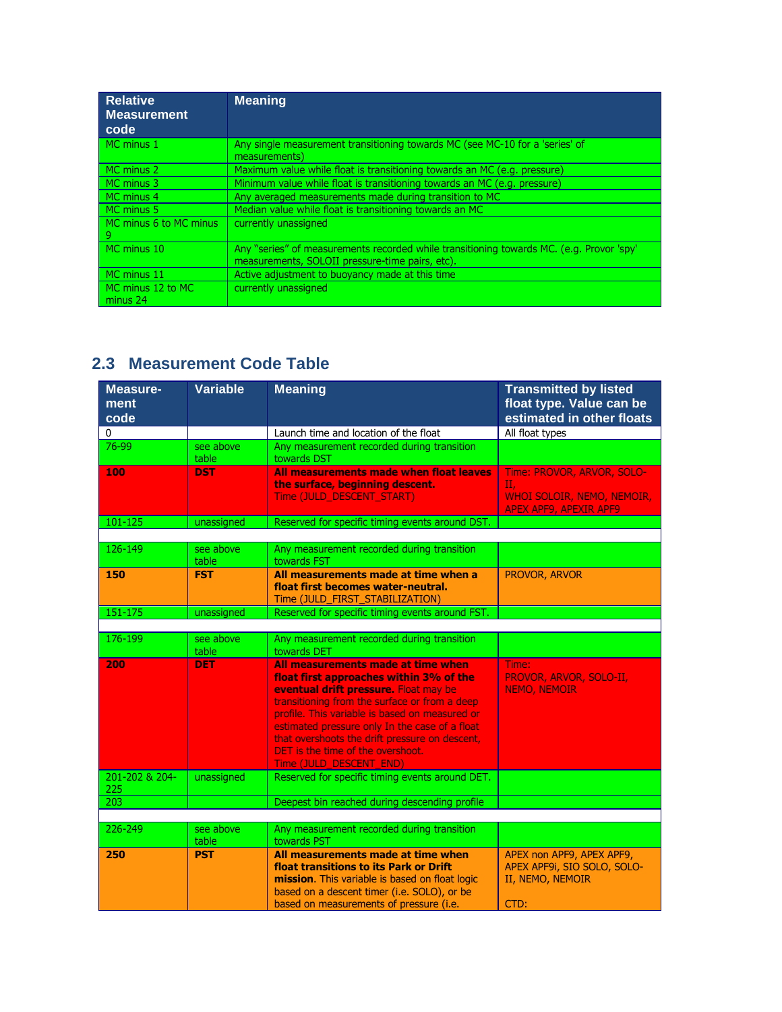| <b>Relative</b><br><b>Measurement</b><br>code | <b>Meaning</b>                                                                                                                              |
|-----------------------------------------------|---------------------------------------------------------------------------------------------------------------------------------------------|
| MC minus 1                                    | Any single measurement transitioning towards MC (see MC-10 for a 'series' of                                                                |
|                                               | measurements)                                                                                                                               |
| MC minus 2                                    | Maximum value while float is transitioning towards an MC (e.g. pressure)                                                                    |
| MC minus 3                                    | Minimum value while float is transitioning towards an MC (e.g. pressure)                                                                    |
| MC minus 4                                    | Any averaged measurements made during transition to MC                                                                                      |
| MC minus 5                                    | Median value while float is transitioning towards an MC                                                                                     |
| MC minus 6 to MC minus<br>9                   | currently unassigned                                                                                                                        |
| MC minus 10                                   | Any "series" of measurements recorded while transitioning towards MC. (e.g. Provor 'spy'<br>measurements, SOLOII pressure-time pairs, etc). |
| MC minus 11                                   | Active adjustment to buoyancy made at this time                                                                                             |
| MC minus 12 to MC<br>minus 24                 | currently unassigned                                                                                                                        |

# **2.3 Measurement Code Table**

| <b>Measure-</b><br>ment<br>code | <b>Variable</b>    | <b>Meaning</b>                                                                                                                                                                                                                                                                                                                                                                                       | <b>Transmitted by listed</b><br>float type. Value can be<br>estimated in other floats           |
|---------------------------------|--------------------|------------------------------------------------------------------------------------------------------------------------------------------------------------------------------------------------------------------------------------------------------------------------------------------------------------------------------------------------------------------------------------------------------|-------------------------------------------------------------------------------------------------|
| 0                               |                    | Launch time and location of the float                                                                                                                                                                                                                                                                                                                                                                | All float types                                                                                 |
| 76-99                           | see above<br>table | Any measurement recorded during transition<br>towards DST                                                                                                                                                                                                                                                                                                                                            |                                                                                                 |
| 100                             | <b>DST</b>         | All measurements made when float leaves<br>the surface, beginning descent.<br>Time (JULD_DESCENT_START)                                                                                                                                                                                                                                                                                              | Time: PROVOR, ARVOR, SOLO-<br>Π.<br>WHOI SOLOIR, NEMO, NEMOIR,<br><b>APEX APF9, APEXIR APF9</b> |
| 101-125                         | unassigned         | Reserved for specific timing events around DST.                                                                                                                                                                                                                                                                                                                                                      |                                                                                                 |
| 126-149                         | see above<br>table | Any measurement recorded during transition<br>towards FST                                                                                                                                                                                                                                                                                                                                            |                                                                                                 |
| 150                             | <b>FST</b>         | All measurements made at time when a<br>float first becomes water-neutral.<br>Time (JULD_FIRST_STABILIZATION)                                                                                                                                                                                                                                                                                        | PROVOR, ARVOR                                                                                   |
| $151 - 175$                     | unassigned         | Reserved for specific timing events around FST.                                                                                                                                                                                                                                                                                                                                                      |                                                                                                 |
|                                 |                    |                                                                                                                                                                                                                                                                                                                                                                                                      |                                                                                                 |
| 176-199                         | see above<br>table | Any measurement recorded during transition<br>towards DET                                                                                                                                                                                                                                                                                                                                            |                                                                                                 |
| 200                             | <b>DET</b>         | All measurements made at time when<br>float first approaches within 3% of the<br>eventual drift pressure. Float may be<br>transitioning from the surface or from a deep<br>profile. This variable is based on measured or<br>estimated pressure only In the case of a float<br>that overshoots the drift pressure on descent,<br><b>DET</b> is the time of the overshoot.<br>Time (JULD_DESCENT_END) | Time:<br>PROVOR, ARVOR, SOLO-II,<br><b>NEMO, NEMOIR</b>                                         |
| 201-202 & 204-<br>225           | unassigned         | Reserved for specific timing events around DET.                                                                                                                                                                                                                                                                                                                                                      |                                                                                                 |
| 203                             |                    | Deepest bin reached during descending profile                                                                                                                                                                                                                                                                                                                                                        |                                                                                                 |
|                                 |                    |                                                                                                                                                                                                                                                                                                                                                                                                      |                                                                                                 |
| 226-249                         | see above<br>table | Any measurement recorded during transition<br>towards PST                                                                                                                                                                                                                                                                                                                                            |                                                                                                 |
| 250                             | <b>PST</b>         | All measurements made at time when<br>float transitions to its Park or Drift<br>mission. This variable is based on float logic<br>based on a descent timer (i.e. SOLO), or be<br>based on measurements of pressure (i.e.                                                                                                                                                                             | APEX non APF9, APEX APF9,<br>APEX APF9i, SIO SOLO, SOLO-<br>II, NEMO, NEMOIR<br>CTD:            |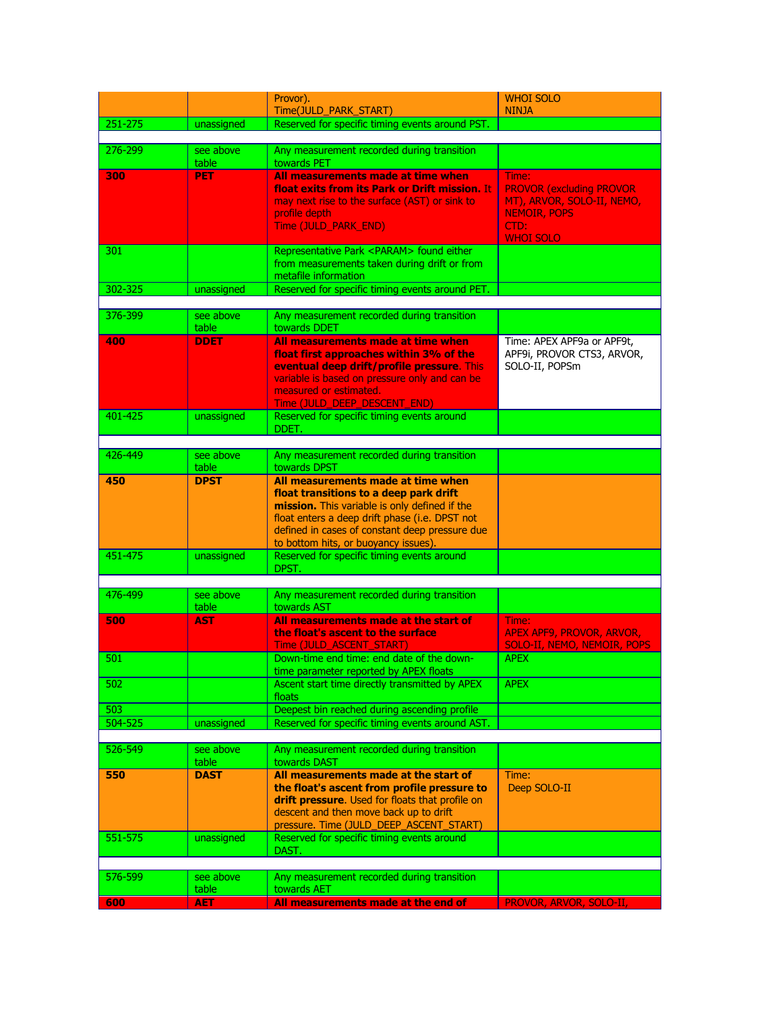|         |                     | Provor).                                                                                         | <b>WHOI SOLO</b>                 |
|---------|---------------------|--------------------------------------------------------------------------------------------------|----------------------------------|
|         |                     | Time(JULD_PARK_START)                                                                            | <b>NINJA</b>                     |
| 251-275 | unassigned          | Reserved for specific timing events around PST.                                                  |                                  |
| 276-299 | see above           |                                                                                                  |                                  |
|         | table               | Any measurement recorded during transition<br>towards PET                                        |                                  |
| 300     | <b>PET</b>          | All measurements made at time when                                                               | Time:                            |
|         |                     | float exits from its Park or Drift mission. It                                                   | <b>PROVOR (excluding PROVOR</b>  |
|         |                     | may next rise to the surface (AST) or sink to                                                    | MT), ARVOR, SOLO-II, NEMO,       |
|         |                     | profile depth                                                                                    | <b>NEMOIR, POPS</b>              |
|         |                     | Time (JULD_PARK_END)                                                                             | CTD:<br><b>WHOI SOLO</b>         |
| 301     |                     | Representative Park <param/> found either                                                        |                                  |
|         |                     | from measurements taken during drift or from                                                     |                                  |
|         |                     | metafile information                                                                             |                                  |
| 302-325 | unassigned          | Reserved for specific timing events around PET.                                                  |                                  |
| 376-399 | see above           | Any measurement recorded during transition                                                       |                                  |
|         | table               | towards DDET                                                                                     |                                  |
| 400     | <b>DDET</b>         | All measurements made at time when                                                               | Time: APEX APF9a or APF9t,       |
|         |                     | float first approaches within 3% of the                                                          | APF9i, PROVOR CTS3, ARVOR,       |
|         |                     | eventual deep drift/profile pressure. This                                                       | SOLO-II, POPSm                   |
|         |                     | variable is based on pressure only and can be<br>measured or estimated.                          |                                  |
|         |                     | Time (JULD_DEEP_DESCENT_END)                                                                     |                                  |
| 401-425 | unassigned          | Reserved for specific timing events around                                                       |                                  |
|         |                     | DDET.                                                                                            |                                  |
| 426-449 | see above           | Any measurement recorded during transition                                                       |                                  |
|         | table               | towards DPST                                                                                     |                                  |
| 450     | <b>DPST</b>         | All measurements made at time when                                                               |                                  |
|         |                     | float transitions to a deep park drift                                                           |                                  |
|         |                     | mission. This variable is only defined if the                                                    |                                  |
|         |                     | float enters a deep drift phase (i.e. DPST not<br>defined in cases of constant deep pressure due |                                  |
|         |                     | to bottom hits, or buoyancy issues).                                                             |                                  |
| 451-475 | unassigned          | Reserved for specific timing events around                                                       |                                  |
|         |                     | DPST.                                                                                            |                                  |
| 476-499 |                     |                                                                                                  |                                  |
|         | see above<br>table  | Any measurement recorded during transition<br>towards AST                                        |                                  |
| 500     | <b>AST</b>          | All measurements made at the start of                                                            | Time:                            |
|         |                     | the float's ascent to the surface                                                                | <b>APEX APF9, PROVOR, ARVOR,</b> |
|         |                     | Time (JULD ASCENT START)                                                                         | SOLO-II, NEMO, NEMOIR, POPS      |
| 501     |                     | Down-time end time: end date of the down-<br>time parameter reported by APEX floats              | <b>APEX</b>                      |
| 502     |                     | Ascent start time directly transmitted by APEX                                                   | <b>APEX</b>                      |
|         |                     | floats                                                                                           |                                  |
| 503     |                     | Deepest bin reached during ascending profile                                                     |                                  |
| 504-525 | unassigned          | Reserved for specific timing events around AST.                                                  |                                  |
| 526-549 | see above           | Any measurement recorded during transition                                                       |                                  |
|         | table               | towards DAST                                                                                     |                                  |
| 550     | <b>DAST</b>         | All measurements made at the start of                                                            | Time:                            |
|         |                     | the float's ascent from profile pressure to                                                      | Deep SOLO-II                     |
|         |                     | drift pressure. Used for floats that profile on                                                  |                                  |
|         |                     | descent and then move back up to drift<br>pressure. Time (JULD_DEEP_ASCENT_START)                |                                  |
| 551-575 | unassigned          | Reserved for specific timing events around                                                       |                                  |
|         |                     | DAST.                                                                                            |                                  |
|         |                     |                                                                                                  |                                  |
| 576-599 | see above           | Any measurement recorded during transition                                                       |                                  |
| 600     | table<br><b>AET</b> | towards AET<br>All measurements made at the end of                                               | PROVOR, ARVOR, SOLO-II,          |
|         |                     |                                                                                                  |                                  |